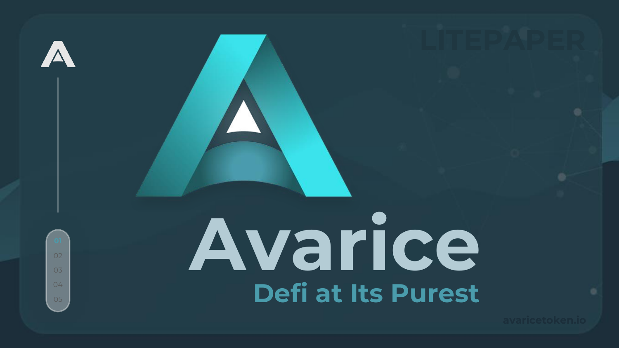

 $0<sub>3</sub>$ 

 $04$ 

# Avarice **Defi at Its Purest**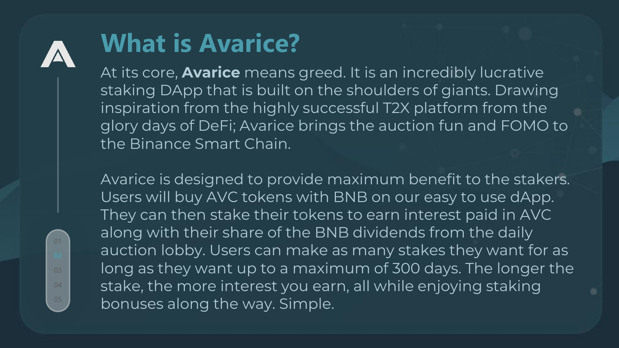

01

04

### **What is Avarice?**

At its core, **Avarice** means greed. It is an incredibly lucrative staking DApp that is built on the shoulders of giants. Drawing inspiration from the highly successful T2X platform from the glory days of DeFi; Avarice brings the auction fun and FOMO to the Binance Smart Chain.

Avarice is designed to provide maximum benefit to the stakers. Users will buy AVC tokens with BNB on our easy to use dApp. They can then stake their tokens to earn interest paid in AVC along with their share of the BNB dividends from the daily auction lobby. Users can make as many stakes they want for as long as they want up to a maximum of 300 days. The longer the stake, the more interest you earn, all while enjoying staking bonuses along the way. Simple.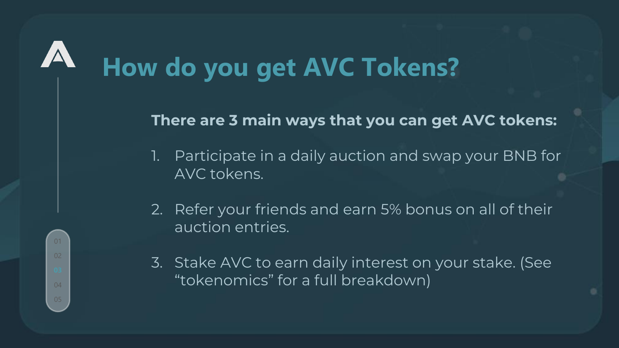# **How do you get AVC Tokens?**

01

02

04

#### **There are 3 main ways that you can get AVC tokens:**

- 1. Participate in a daily auction and swap your BNB for AVC tokens.
- 2. Refer your friends and earn 5% bonus on all of their auction entries.
- 3. Stake AVC to earn daily interest on your stake. (See "tokenomics" for a full breakdown)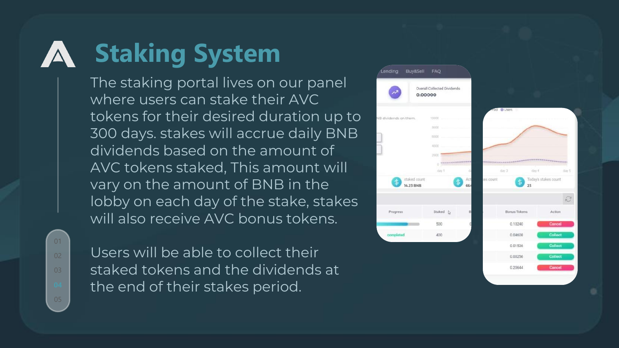### **Staking System**

The staking portal lives on our panel where users can stake their AVC tokens for their desired duration up to 300 days. stakes will accrue daily BNB dividends based on the amount of AVC tokens staked, This amount will vary on the amount of BNB in the lobby on each day of the stake, stakes will also receive AVC bonus tokens.

01  $02$ 

Users will be able to collect their staked tokens and the dividends at the end of their stakes period.

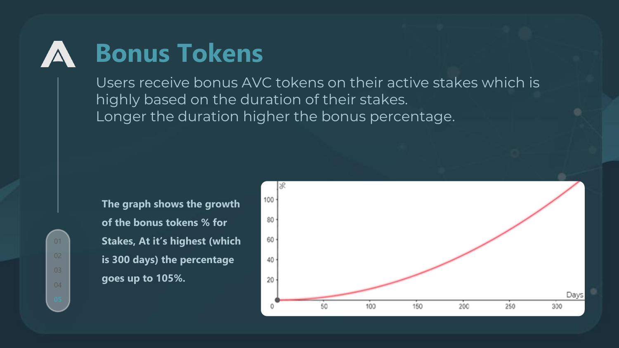### **Bonus Tokens**

Users receive bonus AVC tokens on their active stakes which is highly based on the duration of their stakes. Longer the duration higher the bonus percentage.

01 02 04

**The graph shows the growth of the bonus tokens % for Stakes, At it's highest (which is 300 days) the percentage goes up to 105%.** 

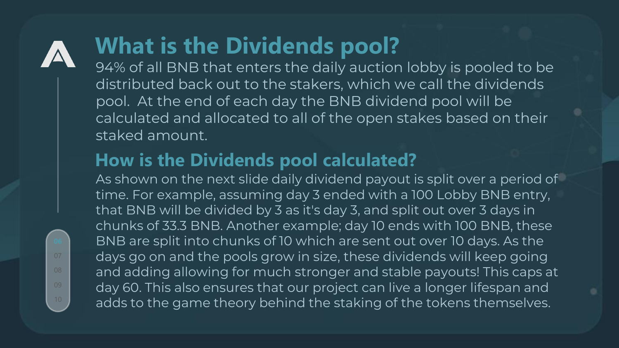### **What is the Dividends pool?**

94% of all BNB that enters the daily auction lobby is pooled to be distributed back out to the stakers, which we call the dividends pool. At the end of each day the BNB dividend pool will be calculated and allocated to all of the open stakes based on their staked amount.

### **How is the Dividends pool calculated?**

As shown on the next slide daily dividend payout is split over a period of time. For example, assuming day 3 ended with a 100 Lobby BNB entry, that BNB will be divided by 3 as it's day 3, and split out over 3 days in chunks of 33.3 BNB. Another example; day 10 ends with 100 BNB, these BNB are split into chunks of 10 which are sent out over 10 days. As the days go on and the pools grow in size, these dividends will keep going and adding allowing for much stronger and stable payouts! This caps at day 60. This also ensures that our project can live a longer lifespan and adds to the game theory behind the staking of the tokens themselves.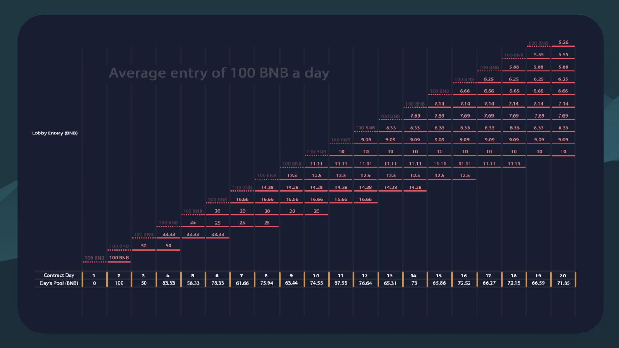|                           |                 |                         |                    |                         |             |                                |                         |         |       |                                |                                |                      |                  |             |                    |         |                    |                    | 100 BNB          | 5.26            |
|---------------------------|-----------------|-------------------------|--------------------|-------------------------|-------------|--------------------------------|-------------------------|---------|-------|--------------------------------|--------------------------------|----------------------|------------------|-------------|--------------------|---------|--------------------|--------------------|------------------|-----------------|
|                           |                 |                         |                    |                         |             |                                |                         |         |       |                                |                                |                      |                  |             |                    |         |                    | <b>100 BNB</b><br> | 5.55             | 5.55            |
|                           |                 |                         |                    |                         |             |                                |                         |         |       | Average entry of 100 BNB a day |                                |                      |                  |             |                    |         | <b>100 BNB</b><br> | 5.88               | 5.88             | 5.88            |
|                           |                 |                         |                    |                         |             |                                |                         |         |       |                                |                                |                      |                  |             |                    | 100 BNB | 6.25               | 6.25               | 6.25             | 6.25            |
| <b>Lobby Entery (BNB)</b> |                 |                         |                    |                         |             |                                |                         |         |       |                                |                                |                      |                  |             | <b>100 BNB</b><br> | 6.66    | 6.66               | 6.66               | 6.66             | 6.66            |
|                           |                 |                         |                    |                         |             |                                |                         |         |       |                                |                                |                      |                  | 100 BNB<br> | 7.14               | 7.14    | 7.14               | 7.14               | 7.14             | 7.14            |
|                           |                 |                         |                    |                         |             |                                |                         |         |       |                                |                                |                      | 100 BNB 7.69<br> |             | 7.69               | 7.69    | 7.69               | 7.69               | 7.69             | 7.69            |
|                           |                 |                         |                    |                         |             |                                |                         |         |       |                                |                                | <b>100 BNB</b><br>$$ | 8.33             | 8.33        | 8.33               | 8.33    | 8.33               | 8.33               | 8.33             | 8.33            |
|                           |                 |                         |                    |                         |             |                                |                         |         |       |                                | <b>100 BNB</b><br>------------ | 9.09                 | 9.09             | 9.09        | 9.09               | 9.09    | 9.09               | 9.09               | 9.09             | 9.09            |
|                           |                 |                         |                    |                         |             |                                |                         |         |       | 100 BNB 10<br>$$               |                                | 10                   | 10 <sub>1</sub>  | 10          | 10 <sub>1</sub>    | 10      | 10                 | 10                 | 10 <sub>10</sub> | 10 <sub>1</sub> |
|                           |                 |                         |                    |                         |             |                                |                         |         |       | $100 BNB$ 11.11                | 11.11                          | 11.11                | 11.11            | 11.11       | 11.11              | 11.11   | $11.11$ 11.11      |                    |                  |                 |
|                           |                 |                         |                    |                         |             |                                |                         | 100 BNB | 12.5  | 12.5                           | 12.5                           | 12.5                 | 12.5             | 12.5        | 12.5               | 12.5    |                    |                    |                  |                 |
|                           |                 |                         |                    |                         |             |                                | 100 BNB<br>             | 14.28   | 14.28 | 14.28                          | 14.28                          | 14.28                | 14.28            | 14.28       |                    |         |                    |                    |                  |                 |
|                           |                 |                         |                    |                         |             | <b>100 BNB</b><br>------------ | 16.66                   | 16.66   | 16.66 | 16.66                          | 16.66                          | 16.66                |                  |             |                    |         |                    |                    |                  |                 |
|                           |                 |                         |                    |                         | 100 BNB<br> | 20                             | 20                      | 20      | 20    | 20                             |                                |                      |                  |             |                    |         |                    |                    |                  |                 |
|                           |                 |                         |                    | 100 BNB<br>------------ | 25          | 25                             | 25                      | 25      |       |                                |                                |                      |                  |             |                    |         |                    |                    |                  |                 |
|                           |                 |                         | <b>100 BNB</b><br> | 33.33                   | 33.33       | 33.33                          |                         |         |       |                                |                                |                      |                  |             |                    |         |                    |                    |                  |                 |
|                           |                 | <b>100 BNB</b><br>      | 50                 | 50                      |             |                                |                         |         |       |                                |                                |                      |                  |             |                    |         |                    |                    |                  |                 |
|                           | 100 BNB 100 BNB |                         |                    |                         |             |                                |                         |         |       |                                |                                |                      |                  |             |                    |         |                    |                    |                  |                 |
| <b>Contract Day</b>       |                 | $\overline{\mathbf{z}}$ | 3                  | 4                       | 5           | 6                              | $\overline{\mathbf{z}}$ |         | 9     | 10                             | 11                             | 12                   | 13               | 14          | 15                 | 16      | 17                 | 18                 | 19               | 20              |
| Day's Pool (BNB)          | $\mathbf{o}$    | 100                     | 50                 | 83.33                   | 58.33       | 78.33                          | 61.66                   | 75.94   | 63.44 | 74.55                          | 67.55                          | 76.64                | 65.31            | 73          | 65.86              | 72.52   | 66.27              | 72.15              | 66.59            | 71.85           |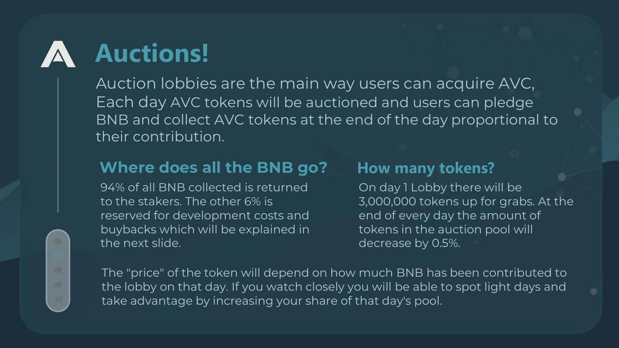## **Auctions!**

Auction lobbies are the main way users can acquire AVC, Each day AVC tokens will be auctioned and users can pledge BNB and collect AVC tokens at the end of the day proportional to their contribution.

#### **Where does all the BNB go?**

94% of all BNB collected is returned to the stakers. The other 6% is reserved for development costs and buybacks which will be explained in the next slide.

#### **How many tokens?**

On day 1 Lobby there will be 3,000,000 tokens up for grabs. At the end of every day the amount of tokens in the auction pool will decrease by 0.5%.

The "price" of the token will depend on how much BNB has been contributed to the lobby on that day. If you watch closely you will be able to spot light days and take advantage by increasing your share of that day's pool.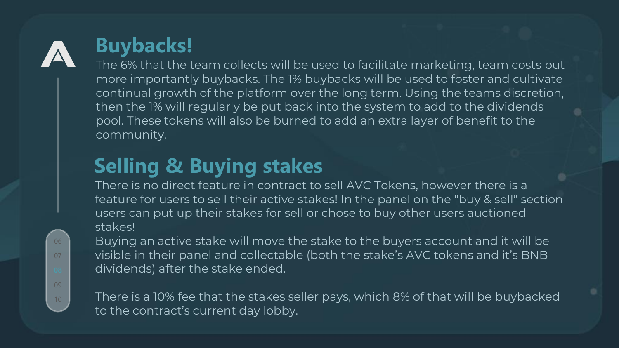

### **Buybacks!**

The 6% that the team collects will be used to facilitate marketing, team costs but more importantly buybacks. The 1% buybacks will be used to foster and cultivate continual growth of the platform over the long term. Using the teams discretion, then the 1% will regularly be put back into the system to add to the dividends pool. These tokens will also be burned to add an extra layer of benefit to the community.

### **Selling & Buying stakes**

There is no direct feature in contract to sell AVC Tokens, however there is a feature for users to sell their active stakes! In the panel on the "buy & sell" section users can put up their stakes for sell or chose to buy other users auctioned stakes!

Buying an active stake will move the stake to the buyers account and it will be visible in their panel and collectable (both the stake's AVC tokens and it's BNB dividends) after the stake ended.

There is a 10% fee that the stakes seller pays, which 8% of that will be buybacked to the contract's current day lobby.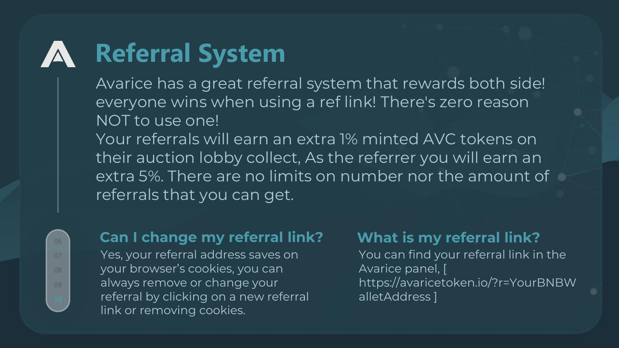### **Referral System**

Avarice has a great referral system that rewards both side! everyone wins when using a ref link! There's zero reason NOT to use one!

Your referrals will earn an extra 1% minted AVC tokens on their auction lobby collect, As the referrer you will earn an extra 5%. There are no limits on number nor the amount of referrals that you can get.

#### **Can I change my referral link?**

Yes, your referral address saves on your browser's cookies, you can always remove or change your referral by clicking on a new referral link or removing cookies.

#### **What is my referral link?**

You can find your referral link in the Avarice panel, [ https://avaricetoken.io/?r=YourBNBW alletAddress ]